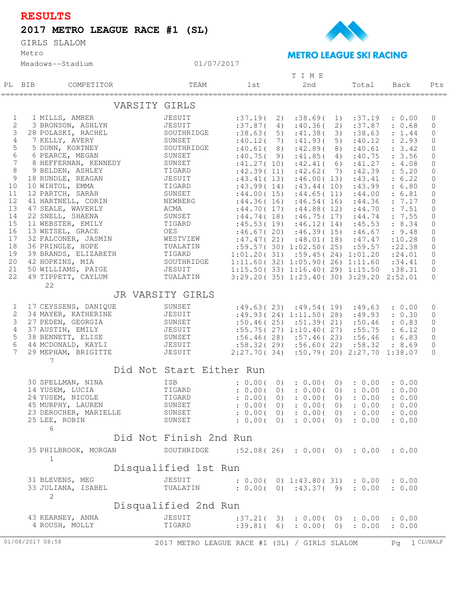## **RESULTS**

## **2017 METRO LEAGUE RACE #1 (SL)**

Metro GIRLS SLALOM



Meadows--Stadium

|                |                               |                                       | TIME                 |                    |  |            |           |                                                                          |  |                       |                  |                             |
|----------------|-------------------------------|---------------------------------------|----------------------|--------------------|--|------------|-----------|--------------------------------------------------------------------------|--|-----------------------|------------------|-----------------------------|
|                | PL BIB                        | COMPETITOR                            |                      | TEAM               |  | lst        |           | 2nd                                                                      |  | Total                 | Back             | Pts                         |
|                |                               |                                       | VARSITY GIRLS        |                    |  |            |           |                                                                          |  |                       |                  |                             |
| $\mathbf{1}$   |                               | 1 MILLS, AMBER                        |                      | JESUIT             |  | :37.19(2)  |           |                                                                          |  | $:38.69(1)$ $:37.19$  | : 0.00           | $\mathbf 0$                 |
| 2              |                               | 3 BRONSON, ASHLYN                     |                      | JESUIT             |  |            |           | $:37.87(4)$ $:40.36(2)$ $:37.87$                                         |  |                       | : 0.68           | $\mathbf{0}$                |
| $\mathsf 3$    |                               | 28 POLASKI, RACHEL                    |                      | SOUTHRIDGE         |  | :38.63(5)  |           | :41.38(                                                                  |  | $3)$ : 38.63          | : 1.44           | $\mathbf 0$                 |
| $\sqrt{4}$     |                               | 7 KELLY, AVERY                        |                      | SUNSET             |  | :40.12(    | 7)        | :41.93(                                                                  |  | 5) $:40.12$           | : 2.93           | $\mathbf{0}$                |
| 5              |                               | 5 DUNN, KORTNEY                       |                      | SOUTHRIDGE         |  | :40.61(8)  |           | :42.89(                                                                  |  | 8) :40.61             | : 3.42           | 0                           |
| $\epsilon$     |                               | 6 PEARCE, MEGAN                       |                      | SUNSET             |  | :40.75(9)  |           | :41.85(                                                                  |  | 4) :40.75             | : 3.56           | 0                           |
| 7              |                               | 8 HEFFERNAN, KENNEDY                  |                      | SUNSET             |  | :41.27(10) |           |                                                                          |  | $:42.41(6)$ $:41.27$  | : 4.08           | $\circ$                     |
| $\,8\,$        |                               | 9 BELDEN, ASHLEY                      | TIGARD               |                    |  |            |           | $:42.39(11)$ $:42.62(7)$ $:42.39$                                        |  |                       | : 5.20           | 0                           |
| $\overline{9}$ |                               | 18 RUNDLE, REAGAN                     |                      | JESUIT<br>TIGARD   |  | :43.41(13) |           | :46.00(13)                                                               |  | :43.41                | : 6.22           | $\mathbf{0}$                |
| 10             |                               | 10 WIHTOL, EMMA                       |                      | SUNSET             |  |            |           | $:43.99(14)$ $:43.44(10)$ $:43.99$                                       |  |                       | : 6.80           | $\circ$                     |
| 11<br>12       |                               | 12 PARTCH, SARAH                      |                      |                    |  |            |           | $:44.00(15)$ $:44.65(11)$ $:44.00$                                       |  |                       | : 6.81           | 0                           |
| 13             |                               | 41 HARTNELL, CORIN                    |                      | NEWBERG<br>ACMA    |  | :44.36(16) |           |                                                                          |  | $:46.54(16)$ $:44.36$ | : 7.17           | $\circ$                     |
| 14             |                               | 47 SEALE, WAVERLY<br>22 SNELL, SHAENA |                      | SUNSET             |  |            |           | $:44.70(17)$ $:44.88(12)$ $:44.70$<br>$:44.74(18)$ $:46.75(17)$ $:44.74$ |  |                       | : 7.51           | $\circ$                     |
| 15             |                               | 11 WEBSTER, EMILY                     |                      | TIGARD             |  |            |           | $:45.53(19)$ $:46.12(14)$ $:45.53$                                       |  |                       | : 7.55<br>: 8.34 | $\mathbf 0$<br>$\mathbf{0}$ |
| 16             |                               | 13 WETSEL, GRACE                      |                      | OES                |  |            |           | $:46.67(20)$ $:46.39(15)$ $:46.67$                                       |  |                       | : 9.48           | $\circ$                     |
| 17             |                               | 32 FALCONER, JASMIN                   |                      | WESTVIEW           |  |            |           | $:47.47(21)$ $:48.01(18)$ $:47.47$                                       |  |                       | :10.28           | $\mathbf{0}$                |
| 18             |                               | 36 PRINGLE, HOPE                      |                      |                    |  |            |           | :59.57(30)1:02.50(25)159.57                                              |  |                       | : 22.38          | $\mathbf 0$                 |
| 19             |                               | 39 BRANDS, ELIZABETH                  |                      | TUALATIN<br>TIGARD |  |            |           | $1:01.20(31)$ $:59.45(24)$ $1:01.20$                                     |  |                       | : 24.01          | $\overline{0}$              |
| 20             |                               | 42 HOPKINS, MIA                       |                      | SOUTHRIDGE         |  |            |           | 1:11.60(32)1:05.90(26)1:11.60                                            |  |                       | : 34.41          | $\overline{0}$              |
| 21             |                               | 50 WILLIAMS, PAIGE                    |                      | JESUIT             |  |            |           | $1:15.50(33)$ $1:16.40(29)$ $1:15.50$                                    |  |                       | : 38.31          | $\mathbf{0}$                |
| 22             |                               | 49 TIPPETT, CAYLUM                    |                      | TUALATIN           |  |            |           | $3:29.20(35)$ $1:23.40(30)$ $3:29.20$ $2:52.01$                          |  |                       |                  | $\Omega$                    |
|                |                               | 22                                    |                      |                    |  |            |           |                                                                          |  |                       |                  |                             |
|                |                               |                                       | JR VARSITY GIRLS     |                    |  |            |           |                                                                          |  |                       |                  |                             |
| 1              |                               | 17 CEYSSENS, DANIQUE                  |                      | SUNSET             |  |            |           | $:49.63(23)$ $:49.54(19)$ $:49.63$                                       |  |                       | : 0.00           | 0                           |
| $\sqrt{2}$     |                               | 34 MAYER, KATHERINE                   |                      | JESUIT             |  |            |           | :49.93(24)1:11.50(28)149.93                                              |  |                       | : 0.30           | 0                           |
| 3              |                               | 27 PEDEN, GEORGIA                     |                      | SUNSET             |  |            |           | $:50.46(25)$ $:51.39(21)$ $:50.46$                                       |  |                       | : 0.83           | $\overline{0}$              |
| $\overline{4}$ |                               | 37 AUSTIN, EMILY                      |                      | JESUIT             |  |            |           | $:55.75(27)$ 1:10.40(27) $:55.75$                                        |  |                       | : 6.12           | $\mathbf{0}$                |
| $\mathsf S$    |                               | 38 BENNETT, ELISE                     |                      | SUNSET             |  |            |           | $:56.46(28)$ $:57.46(23)$ $:56.46$                                       |  |                       | : 6.83           | $\mathbf{0}$                |
| $\epsilon$     |                               | 44 MCDONALD, KAYLI                    |                      | JESUIT             |  |            |           | $:58.32(29)$ $:56.60(22)$ $:58.32$                                       |  |                       | : 8.69           | $\mathbf 0$                 |
| 7              |                               | 29 MEPHAM, BRIGITTE                   |                      | JESUIT             |  |            |           | 2:27.70 ( 34) :50.79 ( 20) 2:27.70 1:38.07                               |  |                       |                  | $\bigcap$                   |
|                | 7<br>Did Not Start Either Run |                                       |                      |                    |  |            |           |                                                                          |  |                       |                  |                             |
|                |                               | 30 SPELLMAN, NINA                     |                      | ISB                |  | : 0.00(    |           | : 0.00(                                                                  |  | $0)$ : $0.00$         | : 0.00           |                             |
|                |                               | 14 YUSEM, LUCIA                       |                      | TIGARD             |  | : 0.00(    | $\circ$ ) | : 0.00(                                                                  |  | $0)$ : $0.00$         | : 0.00           |                             |
|                |                               | 24 YUSEM, NICOLE                      |                      | TIGARD             |  | : 0.00(    | 0)        | : 0.00(                                                                  |  | $0)$ : $0.00$         | : 0.00           |                             |
|                |                               | 45 MURPHY, LAUREN                     |                      | SUNSET             |  |            |           | : 0.00(0) : 0.00(0) : 0.00 : 0.00                                        |  |                       |                  |                             |
|                |                               | 23 DEROCHER, MARIELLE                 |                      | SUNSET             |  |            |           | : 0.00(0) : 0.00(0) : 0.00                                               |  |                       | : 0.00           |                             |
|                |                               | 25 LEE, ROBIN                         |                      | SUNSET             |  |            |           | $: 0.00($ 0) $: 0.00($ 0) $: 0.00$                                       |  |                       | : 0.00           |                             |
|                |                               | 6                                     |                      |                    |  |            |           |                                                                          |  |                       |                  |                             |
|                |                               | Did Not Finish 2nd Run                |                      |                    |  |            |           |                                                                          |  |                       |                  |                             |
|                |                               | 35 PHILBROOK, MORGAN                  |                      | SOUTHRIDGE         |  |            |           | :52.08(26) : 0.00(0) : 0.00                                              |  |                       | : 0.00           |                             |
|                |                               | $\mathbf 1$                           |                      |                    |  |            |           |                                                                          |  |                       |                  |                             |
|                |                               |                                       | Disqualified 1st Run |                    |  |            |           |                                                                          |  |                       |                  |                             |
|                |                               | 31 BLEVENS, MEG                       |                      | JESUIT             |  |            |           | $: 0.00($ 0) 1:43.80(31) $: 0.00$                                        |  |                       | : 0.00           |                             |
|                |                               | 33 JULIANA, ISABEL                    |                      | TUALATIN           |  |            |           | : 0.00(0) : 43.37(9) : 0.00                                              |  |                       | : 0.00           |                             |
|                |                               | 2                                     |                      |                    |  |            |           |                                                                          |  |                       |                  |                             |
|                | Disqualified 2nd Run          |                                       |                      |                    |  |            |           |                                                                          |  |                       |                  |                             |
|                |                               | 43 KEARNEY, ANNA                      |                      | JESUIT             |  |            |           | :37.21(3):0.00(0):0.00                                                   |  |                       | : 0.00           |                             |
|                |                               | 4 ROUSH, MOLLY                        |                      | TIGARD             |  |            |           | :39.81(6):0.00(0):0.00                                                   |  |                       | : 0.00           |                             |
|                |                               |                                       |                      |                    |  |            |           |                                                                          |  |                       |                  |                             |

01/07/2017